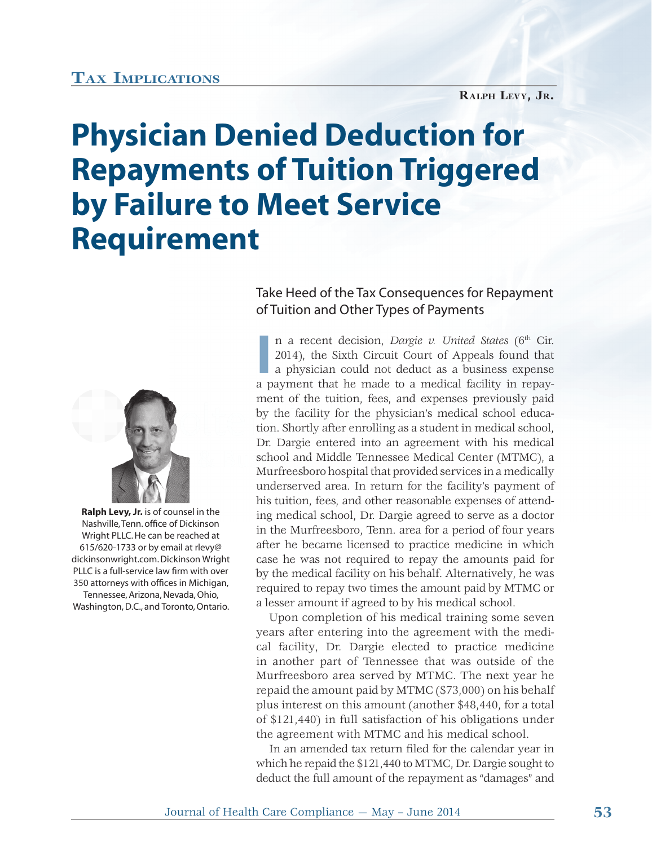## **TAX IMPLICATIONS**

## **Physician Denied Deduction for Repayments of Tuition Triggered by Failure to Meet Service Requirement**



 **Ralph Levy, Jr.** is of counsel in the Nashville, Tenn. office of Dickinson Wright PLLC. He can be reached at 615/620-1733 or by email at rlevy@ dickinsonwright.com. Dickinson Wright PLLC is a full-service law firm with over 350 attorneys with offices in Michigan, Tennessee, Arizona, Nevada, Ohio, Washington, D.C., and Toronto, Ontario.

## Take Heed of the Tax Consequences for Repayment of Tuition and Other Types of Payments

n a recent decision, *Dargie v. United States* (6<sup>th</sup> Cir. 2014), the Sixth Circuit Court of Appeals found that a physician could not deduct as a business expense a payment that he made to a medical facility in repayn a recent decision, *Dargie v. United States* (6<sup>th</sup> Cir. 2014), the Sixth Circuit Court of Appeals found that a physician could not deduct as a business expense ment of the tuition, fees, and expenses previously paid by the facility for the physician's medical school education. Shortly after enrolling as a student in medical school, Dr. Dargie entered into an agreement with his medical school and Middle Tennessee Medical Center (MTMC), a school and Murfreesboro hospital that provided services in a medically b underserved area. In return for the facility's payment of his tuition, fees, and other reasonable expenses of attending medical school, Dr. Dargie agreed to serve as a doctor in the Murfreesboro, Tenn. area for a period of four years after he became licensed to practice medicine in which case he was not required to repay the amounts paid for by the medical facility on his behalf. Alternatively, he was required to repay two times the amount paid by MTMC or a lesser amount if agreed to by his medical school.

Upon completion of his medical training some seven years after entering into the agreement with the medical facility, Dr. Dargie elected to practice medicine in another part of Tennessee that was outside of the Murfreesboro area served by MTMC. The next year he repaid the amount paid by MTMC (\$73,000) on his behalf plus interest on this amount (another \$48,440, for a total of \$121,440) in full satisfaction of his obligations under the agreement with MTMC and his medical school.

In an amended tax return filed for the calendar year in which he repaid the \$121,440 to MTMC, Dr. Dargie sought to deduct the full amount of the repayment as "damages" and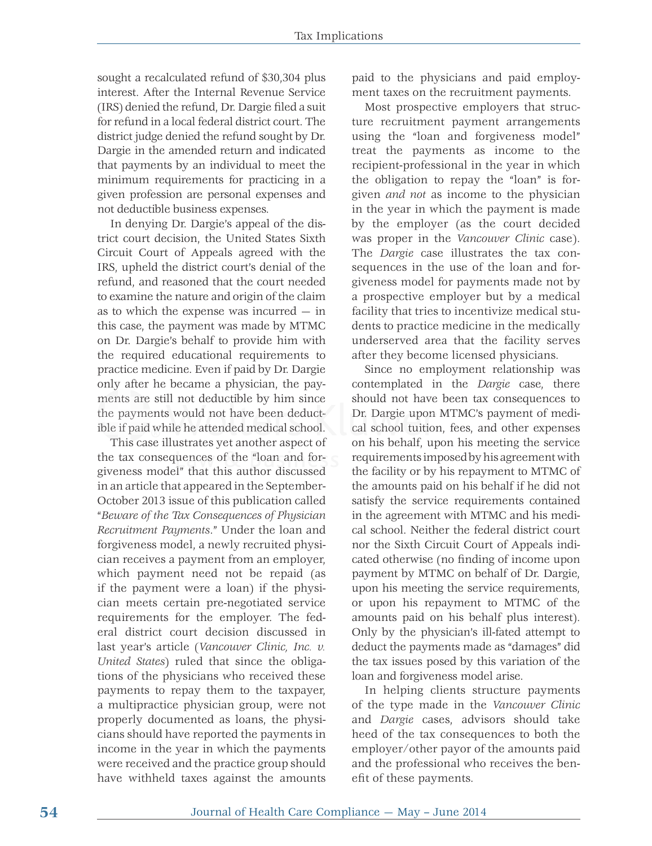sought a recalculated refund of \$30,304 plus interest. After the Internal Revenue Service (IRS) denied the refund, Dr. Dargie filed a suit for refund in a local federal district court. The district judge denied the refund sought by Dr. Dargie in the amended return and indicated that payments by an individual to meet the minimum requirements for practicing in a given profession are personal expenses and not deductible business expenses.

In denying Dr. Dargie's appeal of the district court decision, the United States Sixth Circuit Court of Appeals agreed with the IRS, upheld the district court's denial of the refund, and reasoned that the court needed to examine the nature and origin of the claim as to which the expense was incurred — in this case, the payment was made by MTMC on Dr. Dargie's behalf to provide him with the required educational requirements to practice medicine. Even if paid by Dr. Dargie only after he became a physician, the payments are still not deductible by him since the payments would not have been deductible if paid while he attended medical school.

This case illustrates yet another aspect of This c the tax consequences of the "loan and forgiveness model" that this author discussed l h h d d in an article that appeared in the September-October 2013 issue of this publication called "*Beware of the Tax Consequences of Physician Recruitment Payments*." Under the loan and forgiveness model, a newly recruited physician receives a payment from an employer, which payment need not be repaid (as if the payment were a loan) if the physician meets certain pre-negotiated service requirements for the employer. The federal district court decision discussed in last year's article (*Vancouver Clinic, Inc. v. United States*) ruled that since the obligations of the physicians who received these payments to repay them to the taxpayer, a multipractice physician group, were not properly documented as loans, the physicians should have reported the payments in income in the year in which the payments were received and the practice group should have withheld taxes against the amounts

paid to the physicians and paid employment taxes on the recruitment payments.

Most prospective employers that structure recruitment payment arrangements using the "loan and forgiveness model" treat the payments as income to the recipient-professional in the year in which the obligation to repay the "loan" is forgiven *and not* as income to the physician in the year in which the payment is made by the employer (as the court decided was proper in the *Vancouver Clinic* case). The *Dargie* case illustrates the tax consequences in the use of the loan and forgiveness model for payments made not by a prospective employer but by a medical facility that tries to incentivize medical students to practice medicine in the medically underserved area that the facility serves after they become licensed physicians.

Since no employment relationship was contemplated in the *Dargie* case, there should not have been tax consequences to Dr. Dargie upon MTMC's payment of medict- Dr. Dargie upon MTMC's payment of medi-<br>cal school tuition, fees, and other expenses on his behalf, upon his meeting the service requirements imposed by his agreement with the facility or by his repayment to MTMC of the amounts paid on his behalf if he did not satisfy the service requirements contained in the agreement with MTMC and his medical school. Neither the federal district court nor the Sixth Circuit Court of Appeals indicated otherwise (no finding of income upon payment by MTMC on behalf of Dr. Dargie, upon his meeting the service requirements, or upon his repayment to MTMC of the amounts paid on his behalf plus interest). Only by the physician's ill-fated attempt to deduct the payments made as "damages" did the tax issues posed by this variation of the loan and forgiveness model arise.

> In helping clients structure payments of the type made in the *Vancouver Clinic* and *Dargie* cases, advisors should take heed of the tax consequences to both the employer/other payor of the amounts paid and the professional who receives the benefit of these payments.